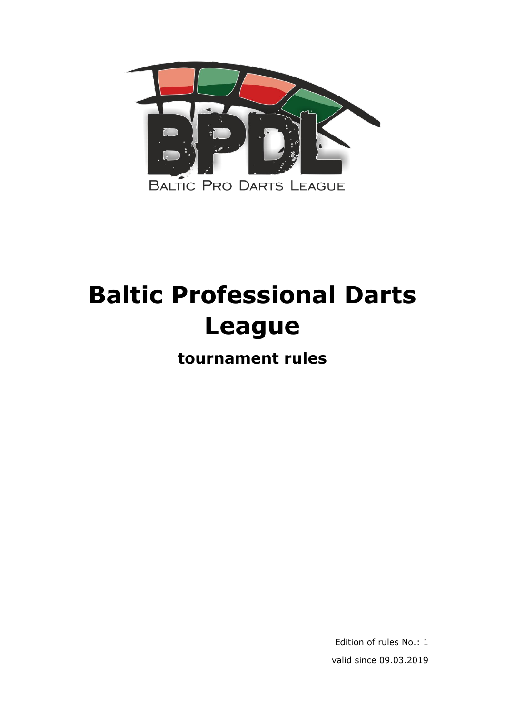

# **Baltic Professional Darts League**

**tournament rules**

Edition of rules No.: 1 valid since 09.03.2019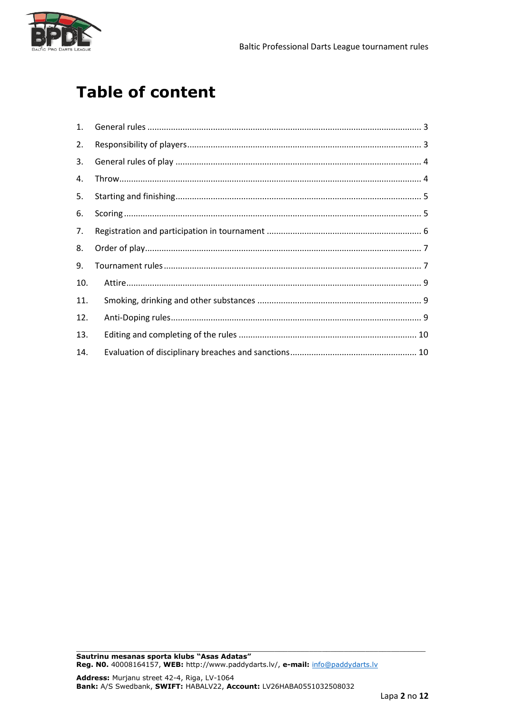

# **Table of content**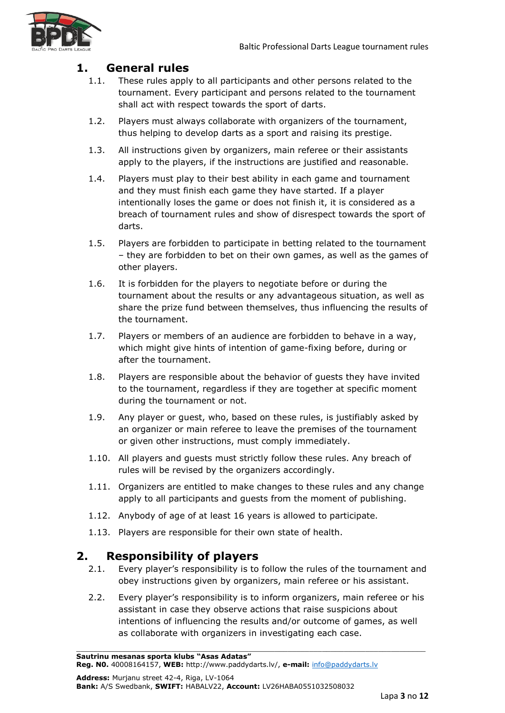

# <span id="page-2-0"></span>**1. General rules**

- 1.1. These rules apply to all participants and other persons related to the tournament. Every participant and persons related to the tournament shall act with respect towards the sport of darts.
- 1.2. Players must always collaborate with organizers of the tournament, thus helping to develop darts as a sport and raising its prestige.
- 1.3. All instructions given by organizers, main referee or their assistants apply to the players, if the instructions are justified and reasonable.
- 1.4. Players must play to their best ability in each game and tournament and they must finish each game they have started. If a player intentionally loses the game or does not finish it, it is considered as a breach of tournament rules and show of disrespect towards the sport of darts.
- 1.5. Players are forbidden to participate in betting related to the tournament – they are forbidden to bet on their own games, as well as the games of other players.
- 1.6. It is forbidden for the players to negotiate before or during the tournament about the results or any advantageous situation, as well as share the prize fund between themselves, thus influencing the results of the tournament.
- 1.7. Players or members of an audience are forbidden to behave in a way, which might give hints of intention of game-fixing before, during or after the tournament.
- 1.8. Players are responsible about the behavior of guests they have invited to the tournament, regardless if they are together at specific moment during the tournament or not.
- 1.9. Any player or guest, who, based on these rules, is justifiably asked by an organizer or main referee to leave the premises of the tournament or given other instructions, must comply immediately.
- 1.10. All players and guests must strictly follow these rules. Any breach of rules will be revised by the organizers accordingly.
- 1.11. Organizers are entitled to make changes to these rules and any change apply to all participants and guests from the moment of publishing.
- 1.12. Anybody of age of at least 16 years is allowed to participate.
- 1.13. Players are responsible for their own state of health.

# <span id="page-2-1"></span>**2. Responsibility of players**

- 2.1. Every player's responsibility is to follow the rules of the tournament and obey instructions given by organizers, main referee or his assistant.
- 2.2. Every player's responsibility is to inform organizers, main referee or his assistant in case they observe actions that raise suspicions about intentions of influencing the results and/or outcome of games, as well as collaborate with organizers in investigating each case.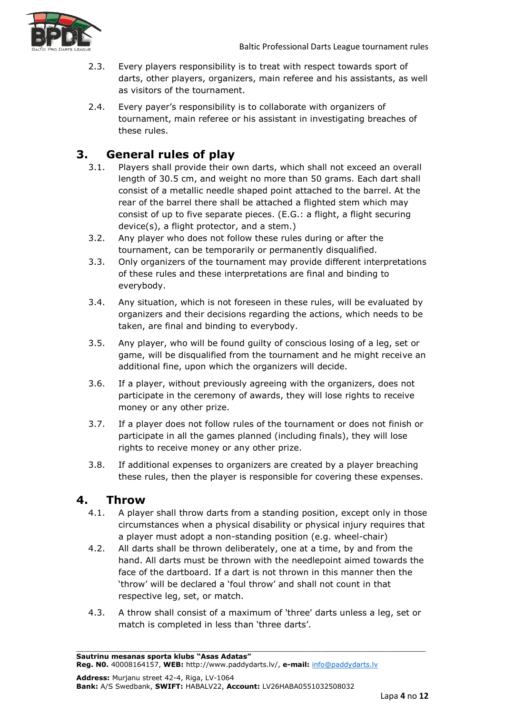- 2.3. Every players responsibility is to treat with respect towards sport of darts, other players, organizers, main referee and his assistants, as well as visitors of the tournament.
- 2.4. Every payer's responsibility is to collaborate with organizers of tournament, main referee or his assistant in investigating breaches of these rules.

# <span id="page-3-0"></span>**3. General rules of play**

- 3.1. Players shall provide their own darts, which shall not exceed an overall length of 30.5 cm, and weight no more than 50 grams. Each dart shall consist of a metallic needle shaped point attached to the barrel. At the rear of the barrel there shall be attached a flighted stem which may consist of up to five separate pieces. (E.G.: a flight, a flight securing device(s), a flight protector, and a stem.)
- 3.2. Any player who does not follow these rules during or after the tournament, can be temporarily or permanently disqualified.
- 3.3. Only organizers of the tournament may provide different interpretations of these rules and these interpretations are final and binding to everybody.
- 3.4. Any situation, which is not foreseen in these rules, will be evaluated by organizers and their decisions regarding the actions, which needs to be taken, are final and binding to everybody.
- 3.5. Any player, who will be found guilty of conscious losing of a leg, set or game, will be disqualified from the tournament and he might receive an additional fine, upon which the organizers will decide.
- 3.6. If a player, without previously agreeing with the organizers, does not participate in the ceremony of awards, they will lose rights to receive money or any other prize.
- 3.7. If a player does not follow rules of the tournament or does not finish or participate in all the games planned (including finals), they will lose rights to receive money or any other prize.
- 3.8. If additional expenses to organizers are created by a player breaching these rules, then the player is responsible for covering these expenses.

# <span id="page-3-1"></span>**4. Throw**

- 4.1. A player shall throw darts from a standing position, except only in those circumstances when a physical disability or physical injury requires that a player must adopt a non-standing position (e.g. wheel-chair)
- 4.2. All darts shall be thrown deliberately, one at a time, by and from the hand. All darts must be thrown with the needlepoint aimed towards the face of the dartboard. If a dart is not thrown in this manner then the 'throw' will be declared a 'foul throw' and shall not count in that respective leg, set, or match.
- 4.3. A throw shall consist of a maximum of 'three' darts unless a leg, set or match is completed in less than 'three darts'.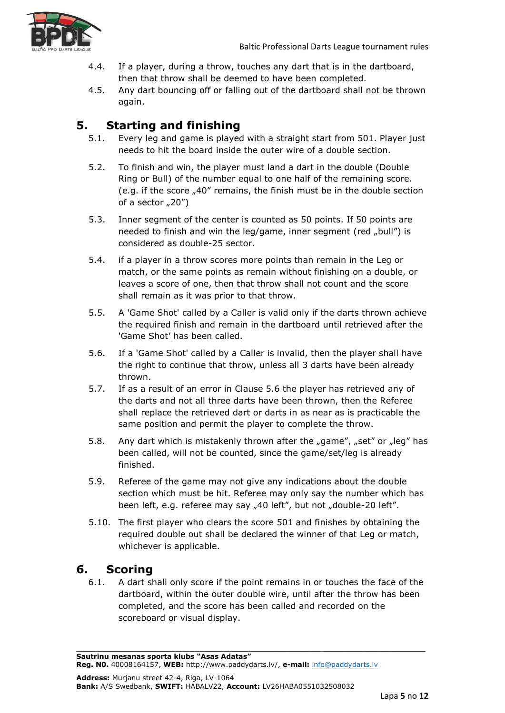

- 4.4. If a player, during a throw, touches any dart that is in the dartboard, then that throw shall be deemed to have been completed.
- 4.5. Any dart bouncing off or falling out of the dartboard shall not be thrown again.

# <span id="page-4-0"></span>**5. Starting and finishing**

- 5.1. Every leg and game is played with a straight start from 501. Player just needs to hit the board inside the outer wire of a double section.
- 5.2. To finish and win, the player must land a dart in the double (Double Ring or Bull) of the number equal to one half of the remaining score. (e.g. if the score "40" remains, the finish must be in the double section of a sector  $(20'')$
- 5.3. Inner segment of the center is counted as 50 points. If 50 points are needed to finish and win the leg/game, inner segment (red "bull") is considered as double-25 sector.
- 5.4. if a player in a throw scores more points than remain in the Leg or match, or the same points as remain without finishing on a double, or leaves a score of one, then that throw shall not count and the score shall remain as it was prior to that throw.
- 5.5. A 'Game Shot' called by a Caller is valid only if the darts thrown achieve the required finish and remain in the dartboard until retrieved after the 'Game Shot' has been called.
- 5.6. If a 'Game Shot' called by a Caller is invalid, then the player shall have the right to continue that throw, unless all 3 darts have been already thrown.
- 5.7. If as a result of an error in Clause 5.6 the player has retrieved any of the darts and not all three darts have been thrown, then the Referee shall replace the retrieved dart or darts in as near as is practicable the same position and permit the player to complete the throw.
- 5.8. Any dart which is mistakenly thrown after the  $n_g$  ame",  $n_g$ set" or  $n_g$ leg" has been called, will not be counted, since the game/set/leg is already finished.
- 5.9. Referee of the game may not give any indications about the double section which must be hit. Referee may only say the number which has been left, e.g. referee may say "40 left", but not "double-20 left".
- 5.10. The first player who clears the score 501 and finishes by obtaining the required double out shall be declared the winner of that Leg or match, whichever is applicable.

# <span id="page-4-1"></span>**6. Scoring**

6.1. A dart shall only score if the point remains in or touches the face of the dartboard, within the outer double wire, until after the throw has been completed, and the score has been called and recorded on the scoreboard or visual display.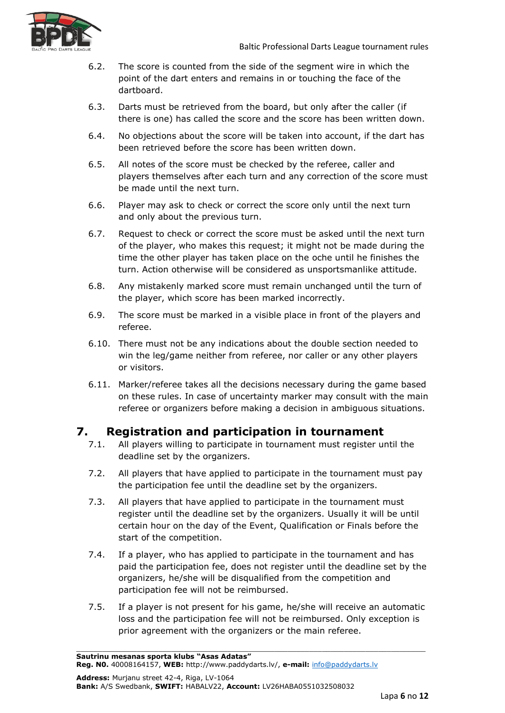

- 6.2. The score is counted from the side of the segment wire in which the point of the dart enters and remains in or touching the face of the dartboard.
- 6.3. Darts must be retrieved from the board, but only after the caller (if there is one) has called the score and the score has been written down.
- 6.4. No objections about the score will be taken into account, if the dart has been retrieved before the score has been written down.
- 6.5. All notes of the score must be checked by the referee, caller and players themselves after each turn and any correction of the score must be made until the next turn.
- 6.6. Player may ask to check or correct the score only until the next turn and only about the previous turn.
- 6.7. Request to check or correct the score must be asked until the next turn of the player, who makes this request; it might not be made during the time the other player has taken place on the oche until he finishes the turn. Action otherwise will be considered as unsportsmanlike attitude.
- 6.8. Any mistakenly marked score must remain unchanged until the turn of the player, which score has been marked incorrectly.
- 6.9. The score must be marked in a visible place in front of the players and referee.
- 6.10. There must not be any indications about the double section needed to win the leg/game neither from referee, nor caller or any other players or visitors.
- 6.11. Marker/referee takes all the decisions necessary during the game based on these rules. In case of uncertainty marker may consult with the main referee or organizers before making a decision in ambiguous situations.

#### <span id="page-5-0"></span>**7. Registration and participation in tournament**

- 7.1. All players willing to participate in tournament must register until the deadline set by the organizers.
- 7.2. All players that have applied to participate in the tournament must pay the participation fee until the deadline set by the organizers.
- 7.3. All players that have applied to participate in the tournament must register until the deadline set by the organizers. Usually it will be until certain hour on the day of the Event, Qualification or Finals before the start of the competition.
- 7.4. If a player, who has applied to participate in the tournament and has paid the participation fee, does not register until the deadline set by the organizers, he/she will be disqualified from the competition and participation fee will not be reimbursed.
- 7.5. If a player is not present for his game, he/she will receive an automatic loss and the participation fee will not be reimbursed. Only exception is prior agreement with the organizers or the main referee.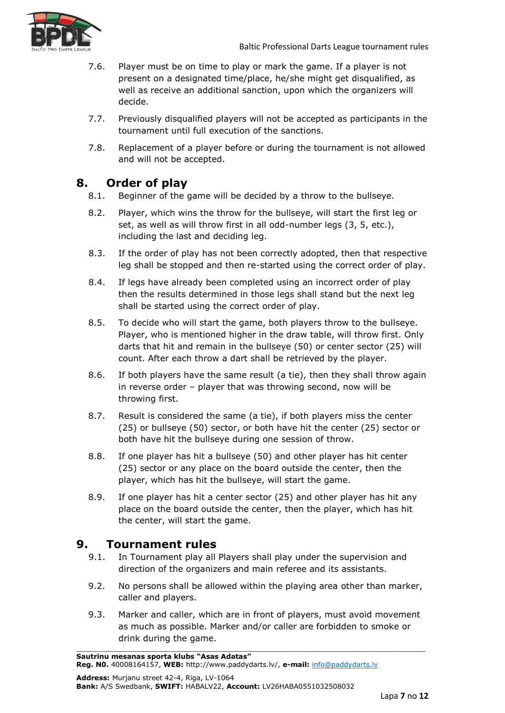

- 7.6. Player must be on time to play or mark the game. If a player is not present on a designated time/place, he/she might get disqualified, as well as receive an additional sanction, upon which the organizers will decide.
- 7.7. Previously disqualified players will not be accepted as participants in the tournament until full execution of the sanctions.
- 7.8. Replacement of a player before or during the tournament is not allowed and will not be accepted.

# <span id="page-6-0"></span>**8. Order of play**

- 8.1. Beginner of the game will be decided by a throw to the bullseye.
- 8.2. Player, which wins the throw for the bullseye, will start the first leg or set, as well as will throw first in all odd-number legs (3, 5, etc.), including the last and deciding leg.
- 8.3. If the order of play has not been correctly adopted, then that respective leg shall be stopped and then re-started using the correct order of play.
- 8.4. If legs have already been completed using an incorrect order of play then the results determined in those legs shall stand but the next leg shall be started using the correct order of play.
- 8.5. To decide who will start the game, both players throw to the bullseye. Player, who is mentioned higher in the draw table, will throw first. Only darts that hit and remain in the bullseye (50) or center sector (25) will count. After each throw a dart shall be retrieved by the player.
- 8.6. If both players have the same result (a tie), then they shall throw again in reverse order – player that was throwing second, now will be throwing first.
- 8.7. Result is considered the same (a tie), if both players miss the center (25) or bullseye (50) sector, or both have hit the center (25) sector or both have hit the bullseye during one session of throw.
- 8.8. If one player has hit a bullseye (50) and other player has hit center (25) sector or any place on the board outside the center, then the player, which has hit the bullseye, will start the game.
- 8.9. If one player has hit a center sector (25) and other player has hit any place on the board outside the center, then the player, which has hit the center, will start the game.

# <span id="page-6-1"></span>**9. Tournament rules**

- 9.1. In Tournament play all Players shall play under the supervision and direction of the organizers and main referee and its assistants.
- 9.2. No persons shall be allowed within the playing area other than marker, caller and players.
- 9.3. Marker and caller, which are in front of players, must avoid movement as much as possible. Marker and/or caller are forbidden to smoke or drink during the game.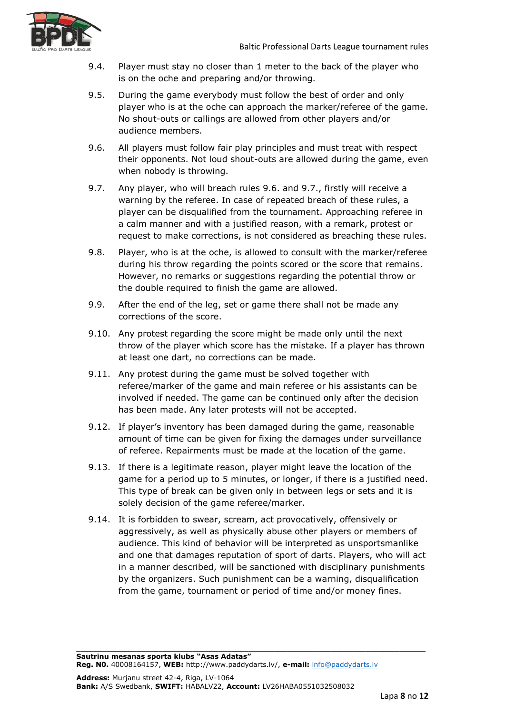

- 9.4. Player must stay no closer than 1 meter to the back of the player who is on the oche and preparing and/or throwing.
- 9.5. During the game everybody must follow the best of order and only player who is at the oche can approach the marker/referee of the game. No shout-outs or callings are allowed from other players and/or audience members.
- 9.6. All players must follow fair play principles and must treat with respect their opponents. Not loud shout-outs are allowed during the game, even when nobody is throwing.
- 9.7. Any player, who will breach rules 9.6. and 9.7., firstly will receive a warning by the referee. In case of repeated breach of these rules, a player can be disqualified from the tournament. Approaching referee in a calm manner and with a justified reason, with a remark, protest or request to make corrections, is not considered as breaching these rules.
- 9.8. Player, who is at the oche, is allowed to consult with the marker/referee during his throw regarding the points scored or the score that remains. However, no remarks or suggestions regarding the potential throw or the double required to finish the game are allowed.
- 9.9. After the end of the leg, set or game there shall not be made any corrections of the score.
- 9.10. Any protest regarding the score might be made only until the next throw of the player which score has the mistake. If a player has thrown at least one dart, no corrections can be made.
- 9.11. Any protest during the game must be solved together with referee/marker of the game and main referee or his assistants can be involved if needed. The game can be continued only after the decision has been made. Any later protests will not be accepted.
- 9.12. If player's inventory has been damaged during the game, reasonable amount of time can be given for fixing the damages under surveillance of referee. Repairments must be made at the location of the game.
- 9.13. If there is a legitimate reason, player might leave the location of the game for a period up to 5 minutes, or longer, if there is a justified need. This type of break can be given only in between legs or sets and it is solely decision of the game referee/marker.
- 9.14. It is forbidden to swear, scream, act provocatively, offensively or aggressively, as well as physically abuse other players or members of audience. This kind of behavior will be interpreted as unsportsmanlike and one that damages reputation of sport of darts. Players, who will act in a manner described, will be sanctioned with disciplinary punishments by the organizers. Such punishment can be a warning, disqualification from the game, tournament or period of time and/or money fines.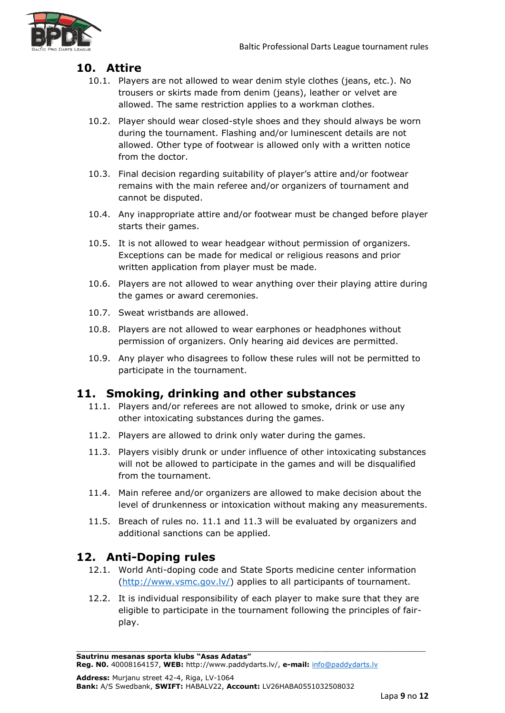

# <span id="page-8-0"></span>**10. Attire**

- 10.1. Players are not allowed to wear denim style clothes (jeans, etc.). No trousers or skirts made from denim (jeans), leather or velvet are allowed. The same restriction applies to a workman clothes.
- 10.2. Player should wear closed-style shoes and they should always be worn during the tournament. Flashing and/or luminescent details are not allowed. Other type of footwear is allowed only with a written notice from the doctor.
- 10.3. Final decision regarding suitability of player's attire and/or footwear remains with the main referee and/or organizers of tournament and cannot be disputed.
- 10.4. Any inappropriate attire and/or footwear must be changed before player starts their games.
- 10.5. It is not allowed to wear headgear without permission of organizers. Exceptions can be made for medical or religious reasons and prior written application from player must be made.
- 10.6. Players are not allowed to wear anything over their playing attire during the games or award ceremonies.
- 10.7. Sweat wristbands are allowed.
- 10.8. Players are not allowed to wear earphones or headphones without permission of organizers. Only hearing aid devices are permitted.
- 10.9. Any player who disagrees to follow these rules will not be permitted to participate in the tournament.

# <span id="page-8-1"></span>**11. Smoking, drinking and other substances**

- 11.1. Players and/or referees are not allowed to smoke, drink or use any other intoxicating substances during the games.
- 11.2. Players are allowed to drink only water during the games.
- 11.3. Players visibly drunk or under influence of other intoxicating substances will not be allowed to participate in the games and will be disqualified from the tournament.
- 11.4. Main referee and/or organizers are allowed to make decision about the level of drunkenness or intoxication without making any measurements.
- 11.5. Breach of rules no. 11.1 and 11.3 will be evaluated by organizers and additional sanctions can be applied.

# <span id="page-8-2"></span>**12. Anti-Doping rules**

- 12.1. World Anti-doping code and State Sports medicine center information [\(http://www.vsmc.gov.lv/\)](http://www.vsmc.gov.lv/) applies to all participants of tournament.
- 12.2. It is individual responsibility of each player to make sure that they are eligible to participate in the tournament following the principles of fairplay.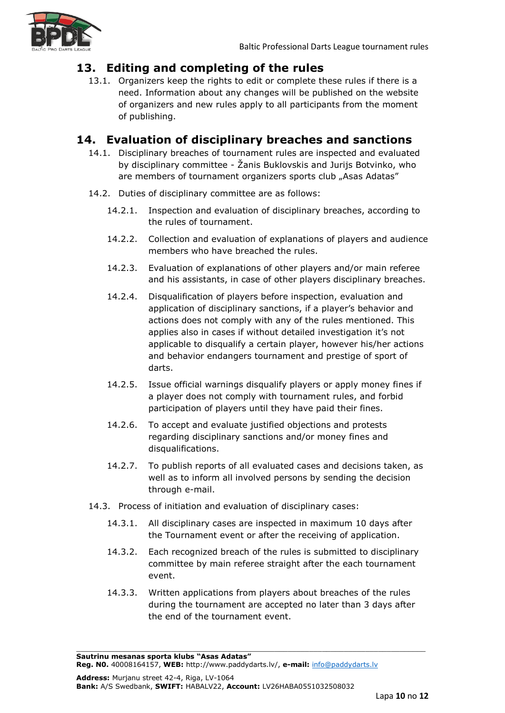

# <span id="page-9-0"></span>**13. Editing and completing of the rules**

13.1. Organizers keep the rights to edit or complete these rules if there is a need. Information about any changes will be published on the website of organizers and new rules apply to all participants from the moment of publishing.

# <span id="page-9-1"></span>**14. Evaluation of disciplinary breaches and sanctions**

- 14.1. Disciplinary breaches of tournament rules are inspected and evaluated by disciplinary committee - Žanis Buklovskis and Jurijs Botvinko, who are members of tournament organizers sports club "Asas Adatas"
- 14.2. Duties of disciplinary committee are as follows:
	- 14.2.1. Inspection and evaluation of disciplinary breaches, according to the rules of tournament.
	- 14.2.2. Collection and evaluation of explanations of players and audience members who have breached the rules.
	- 14.2.3. Evaluation of explanations of other players and/or main referee and his assistants, in case of other players disciplinary breaches.
	- 14.2.4. Disqualification of players before inspection, evaluation and application of disciplinary sanctions, if a player's behavior and actions does not comply with any of the rules mentioned. This applies also in cases if without detailed investigation it's not applicable to disqualify a certain player, however his/her actions and behavior endangers tournament and prestige of sport of darts.
	- 14.2.5. Issue official warnings disqualify players or apply money fines if a player does not comply with tournament rules, and forbid participation of players until they have paid their fines.
	- 14.2.6. To accept and evaluate justified objections and protests regarding disciplinary sanctions and/or money fines and disqualifications.
	- 14.2.7. To publish reports of all evaluated cases and decisions taken, as well as to inform all involved persons by sending the decision through e-mail.
- 14.3. Process of initiation and evaluation of disciplinary cases:
	- 14.3.1. All disciplinary cases are inspected in maximum 10 days after the Tournament event or after the receiving of application.
	- 14.3.2. Each recognized breach of the rules is submitted to disciplinary committee by main referee straight after the each tournament event.
	- 14.3.3. Written applications from players about breaches of the rules during the tournament are accepted no later than 3 days after the end of the tournament event.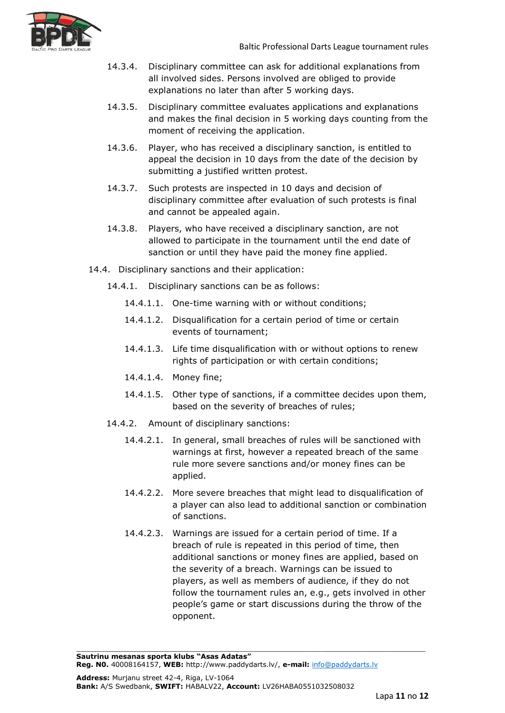

- 14.3.4. Disciplinary committee can ask for additional explanations from all involved sides. Persons involved are obliged to provide explanations no later than after 5 working days.
- 14.3.5. Disciplinary committee evaluates applications and explanations and makes the final decision in 5 working days counting from the moment of receiving the application.
- 14.3.6. Player, who has received a disciplinary sanction, is entitled to appeal the decision in 10 days from the date of the decision by submitting a justified written protest.
- 14.3.7. Such protests are inspected in 10 days and decision of disciplinary committee after evaluation of such protests is final and cannot be appealed again.
- 14.3.8. Players, who have received a disciplinary sanction, are not allowed to participate in the tournament until the end date of sanction or until they have paid the money fine applied.
- 14.4. Disciplinary sanctions and their application:
	- 14.4.1. Disciplinary sanctions can be as follows:
		- 14.4.1.1. One-time warning with or without conditions;
		- 14.4.1.2. Disqualification for a certain period of time or certain events of tournament;
		- 14.4.1.3. Life time disqualification with or without options to renew rights of participation or with certain conditions;
		- 14.4.1.4. Money fine;
		- 14.4.1.5. Other type of sanctions, if a committee decides upon them, based on the severity of breaches of rules;
	- 14.4.2. Amount of disciplinary sanctions:
		- 14.4.2.1. In general, small breaches of rules will be sanctioned with warnings at first, however a repeated breach of the same rule more severe sanctions and/or money fines can be applied.
		- 14.4.2.2. More severe breaches that might lead to disqualification of a player can also lead to additional sanction or combination of sanctions.
		- 14.4.2.3. Warnings are issued for a certain period of time. If a breach of rule is repeated in this period of time, then additional sanctions or money fines are applied, based on the severity of a breach. Warnings can be issued to players, as well as members of audience, if they do not follow the tournament rules an, e.g., gets involved in other people's game or start discussions during the throw of the opponent.